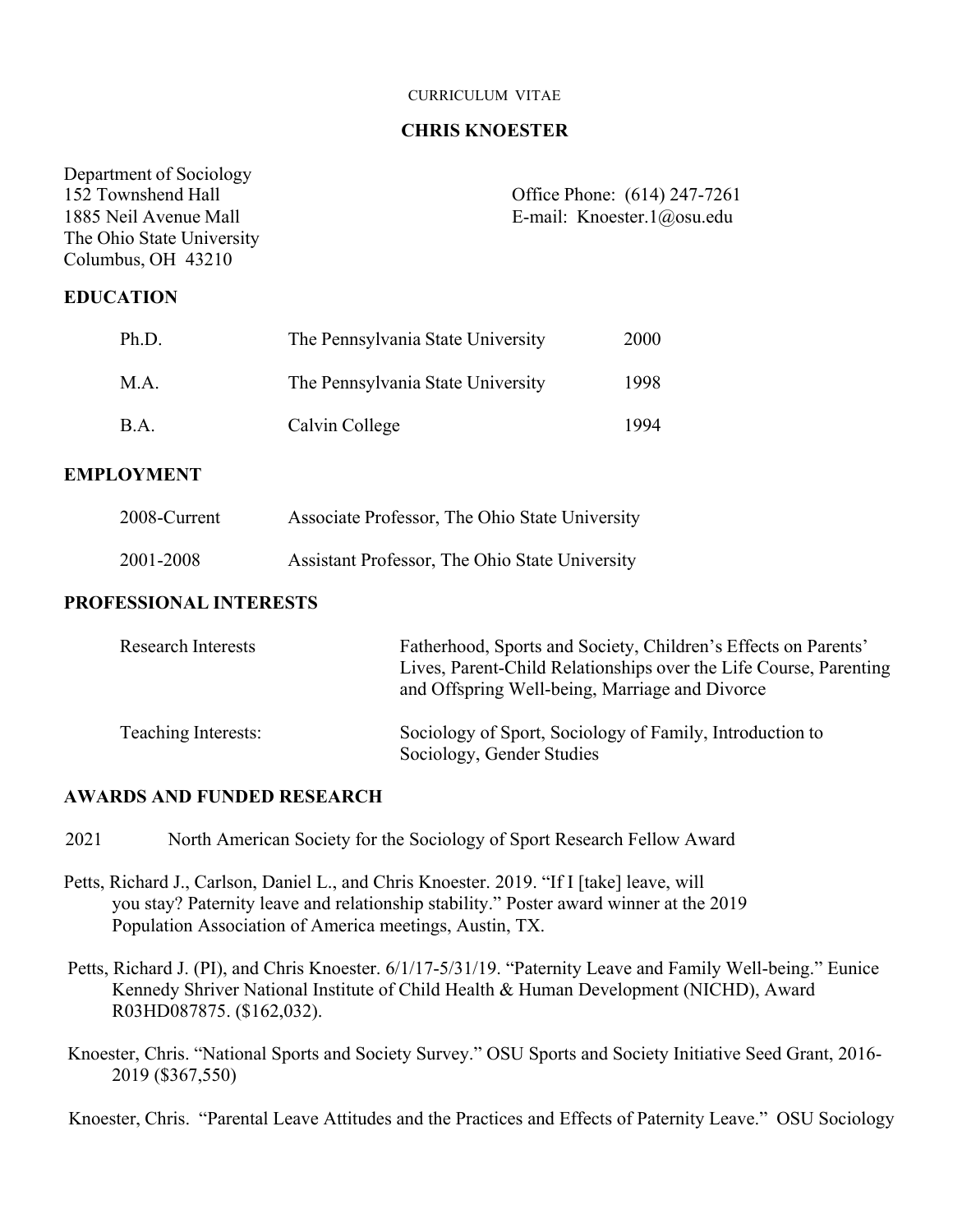#### CURRICULUM VITAE

#### **CHRIS KNOESTER**

| Department of Sociology<br>152 Townshend Hall<br>1885 Neil Avenue Mall<br>The Ohio State University<br>Columbus, OH 43210 |                                                | Office Phone: (614) 247-7261<br>E-mail: Knoester.1@osu.edu |
|---------------------------------------------------------------------------------------------------------------------------|------------------------------------------------|------------------------------------------------------------|
| <b>EDUCATION</b>                                                                                                          |                                                |                                                            |
| Ph.D.                                                                                                                     | The Pennsylvania State University              | 2000                                                       |
| M.A.                                                                                                                      | The Pennsylvania State University              | 1998                                                       |
| B.A.                                                                                                                      | Calvin College                                 | 1994                                                       |
| <b>EMPLOYMENT</b>                                                                                                         |                                                |                                                            |
| 2008-Current                                                                                                              | Associate Professor, The Ohio State University |                                                            |
| 2001-2008                                                                                                                 | Assistant Professor, The Ohio State University |                                                            |
| <b>PROFESSIONAL INTERESTS</b>                                                                                             |                                                |                                                            |

| <b>Research Interests</b> | Fatherhood, Sports and Society, Children's Effects on Parents'<br>Lives, Parent-Child Relationships over the Life Course, Parenting<br>and Offspring Well-being, Marriage and Divorce |
|---------------------------|---------------------------------------------------------------------------------------------------------------------------------------------------------------------------------------|
| Teaching Interests:       | Sociology of Sport, Sociology of Family, Introduction to<br>Sociology, Gender Studies                                                                                                 |

### **AWARDS AND FUNDED RESEARCH**

2021 North American Society for the Sociology of Sport Research Fellow Award

- Petts, Richard J., Carlson, Daniel L., and Chris Knoester. 2019. "If I [take] leave, will you stay? Paternity leave and relationship stability." Poster award winner at the 2019 Population Association of America meetings, Austin, TX.
- Petts, Richard J. (PI), and Chris Knoester. 6/1/17-5/31/19. "Paternity Leave and Family Well-being." Eunice Kennedy Shriver National Institute of Child Health & Human Development (NICHD), Award R03HD087875. (\$162,032).
- Knoester, Chris. "National Sports and Society Survey." OSU Sports and Society Initiative Seed Grant, 2016- 2019 (\$367,550)

Knoester, Chris. "Parental Leave Attitudes and the Practices and Effects of Paternity Leave." OSU Sociology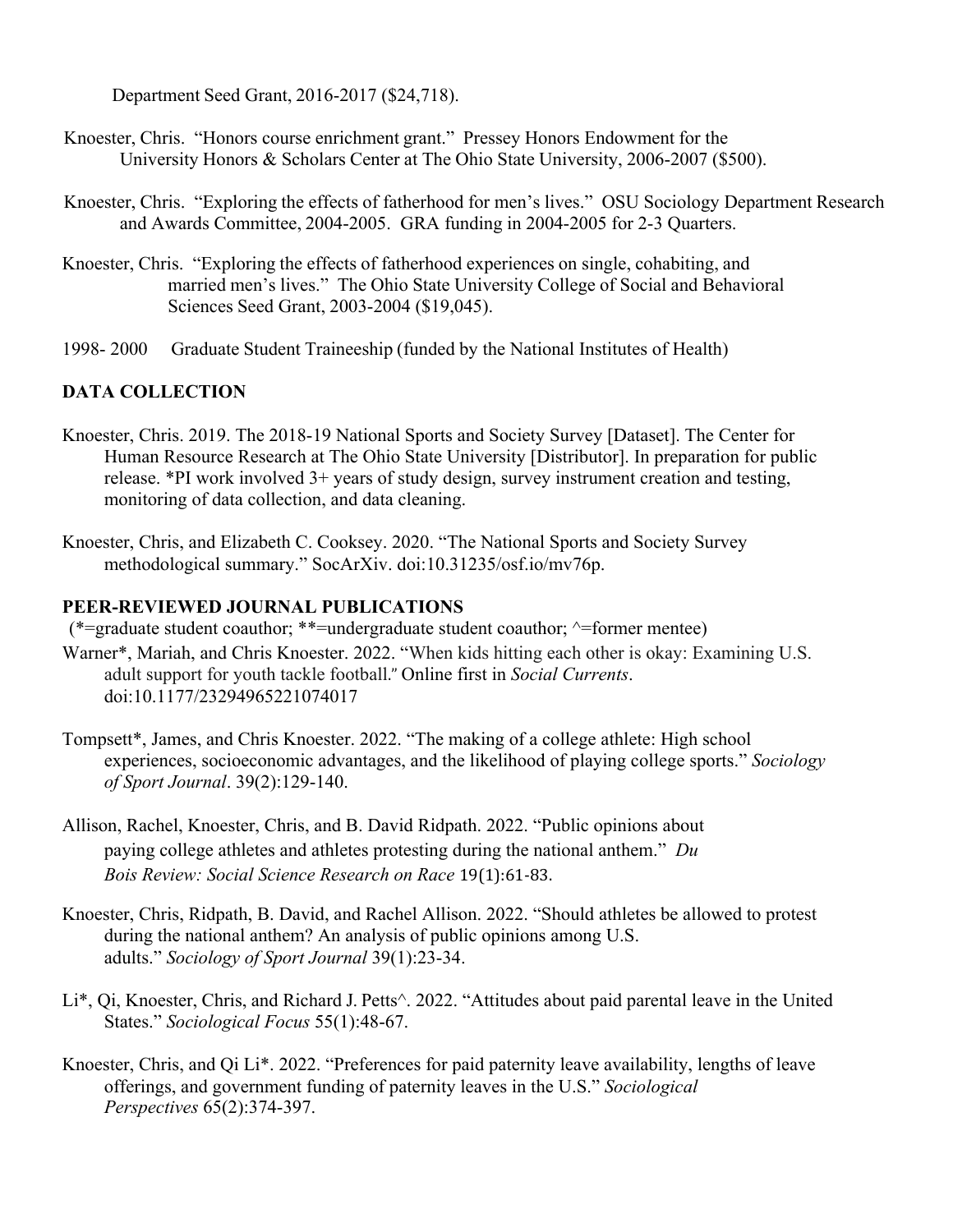Department Seed Grant, 2016-2017 (\$24,718).

- Knoester, Chris. "Honors course enrichment grant." Pressey Honors Endowment for the University Honors & Scholars Center at The Ohio State University, 2006-2007 (\$500).
- Knoester, Chris. "Exploring the effects of fatherhood for men's lives." OSU Sociology Department Research and Awards Committee, 2004-2005. GRA funding in 2004-2005 for 2-3 Quarters.
- Knoester, Chris. "Exploring the effects of fatherhood experiences on single, cohabiting, and married men's lives." The Ohio State University College of Social and Behavioral Sciences Seed Grant, 2003-2004 (\$19,045).
- 1998- 2000 Graduate Student Traineeship (funded by the National Institutes of Health)

# **DATA COLLECTION**

- Knoester, Chris. 2019. The 2018-19 National Sports and Society Survey [Dataset]. The Center for Human Resource Research at The Ohio State University [Distributor]. In preparation for public release. \*PI work involved 3+ years of study design, survey instrument creation and testing, monitoring of data collection, and data cleaning.
- Knoester, Chris, and Elizabeth C. Cooksey. 2020. "The National Sports and Society Survey methodological summary." SocArXiv. doi:10.31235/osf.io/mv76p.

### **PEER-REVIEWED JOURNAL PUBLICATIONS**

(\*=graduate student coauthor; \*\*=undergraduate student coauthor;  $\land$ =former mentee)

- Warner\*, Mariah, and Chris Knoester. 2022. "When kids hitting each other is okay: Examining U.S. adult support for youth tackle football." Online first in *Social Currents*. doi:10.1177/23294965221074017
- Tompsett\*, James, and Chris Knoester. 2022. "The making of a college athlete: High school experiences, socioeconomic advantages, and the likelihood of playing college sports." *Sociology of Sport Journal*. 39(2):129-140.
- Allison, Rachel, Knoester, Chris, and B. David Ridpath. 2022. "Public opinions about paying college athletes and athletes protesting during the national anthem." *Du Bois Review: Social Science Research on Race* 19(1):61-83.
- Knoester, Chris, Ridpath, B. David, and Rachel Allison. 2022. "Should athletes be allowed to protest during the national anthem? An analysis of public opinions among U.S. adults." *Sociology of Sport Journal* 39(1):23-34.
- Li\*, Qi, Knoester, Chris, and Richard J. Petts^. 2022. "Attitudes about paid parental leave in the United States." *Sociological Focus* 55(1):48-67.
- Knoester, Chris, and Qi Li\*. 2022. "Preferences for paid paternity leave availability, lengths of leave offerings, and government funding of paternity leaves in the U.S." *Sociological Perspectives* 65(2):374-397.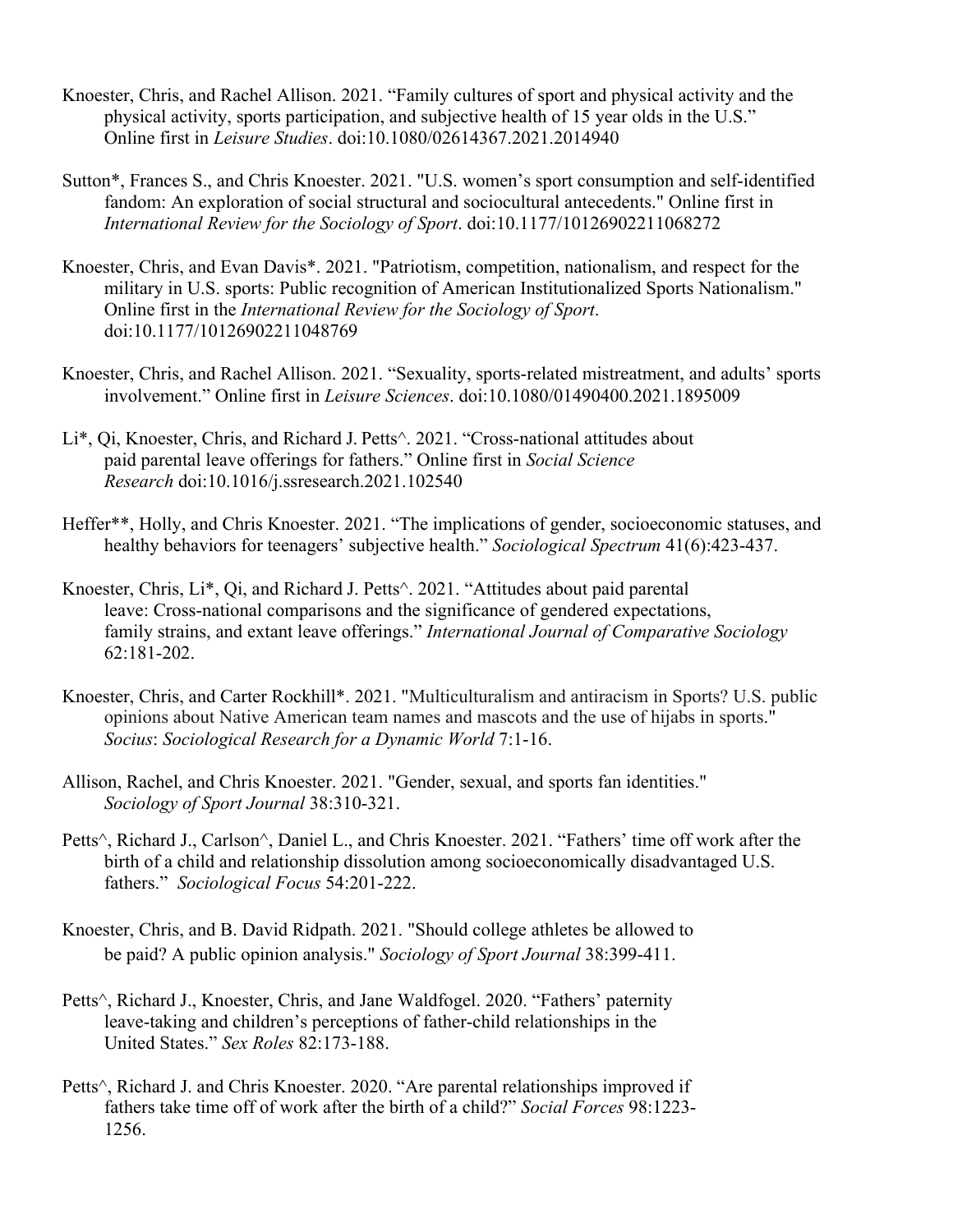- Knoester, Chris, and Rachel Allison. 2021. "Family cultures of sport and physical activity and the physical activity, sports participation, and subjective health of 15 year olds in the U.S." Online first in *Leisure Studies*. doi:10.1080/02614367.2021.2014940
- Sutton\*, Frances S., and Chris Knoester. 2021. "U.S. women's sport consumption and self-identified fandom: An exploration of social structural and sociocultural antecedents." Online first in *International Review for the Sociology of Sport*. doi:10.1177/10126902211068272
- Knoester, Chris, and Evan Davis\*. 2021. "Patriotism, competition, nationalism, and respect for the military in U.S. sports: Public recognition of American Institutionalized Sports Nationalism." Online first in the *International Review for the Sociology of Sport*. doi:10.1177/10126902211048769
- Knoester, Chris, and Rachel Allison. 2021. "Sexuality, sports-related mistreatment, and adults' sports involvement." Online first in *Leisure Sciences*. doi:10.1080/01490400.2021.1895009
- Li\*, Qi, Knoester, Chris, and Richard J. Petts^. 2021. "Cross-national attitudes about paid parental leave offerings for fathers." Online first in *Social Science Research* doi:10.1016/j.ssresearch.2021.102540
- Heffer\*\*, Holly, and Chris Knoester. 2021. "The implications of gender, socioeconomic statuses, and healthy behaviors for teenagers' subjective health." *Sociological Spectrum* 41(6):423-437.
- Knoester, Chris, Li\*, Qi, and Richard J. Petts^. 2021. "Attitudes about paid parental leave: Cross-national comparisons and the significance of gendered expectations, family strains, and extant leave offerings." *International Journal of Comparative Sociology* 62:181-202.
- Knoester, Chris, and Carter Rockhill\*. 2021. "Multiculturalism and antiracism in Sports? U.S. public opinions about Native American team names and mascots and the use of hijabs in sports." *Socius*: *Sociological Research for a Dynamic World* 7:1-16.
- Allison, Rachel, and Chris Knoester. 2021. "Gender, sexual, and sports fan identities." *Sociology of Sport Journal* 38:310-321.
- Petts^, Richard J., Carlson^, Daniel L., and Chris Knoester. 2021. "Fathers' time off work after the birth of a child and relationship dissolution among socioeconomically disadvantaged U.S. fathers." *Sociological Focus* 54:201-222.
- Knoester, Chris, and B. David Ridpath. 2021. "Should college athletes be allowed to be paid? A public opinion analysis." *Sociology of Sport Journal* 38:399-411.
- Petts^, Richard J., Knoester, Chris, and Jane Waldfogel. 2020. "Fathers' paternity leave-taking and children's perceptions of father-child relationships in the United States." *Sex Roles* 82:173-188.
- Petts<sup> $\wedge$ </sup>, Richard J. and Chris Knoester. 2020. "Are parental relationships improved if fathers take time off of work after the birth of a child?" *Social Forces* 98:1223- 1256.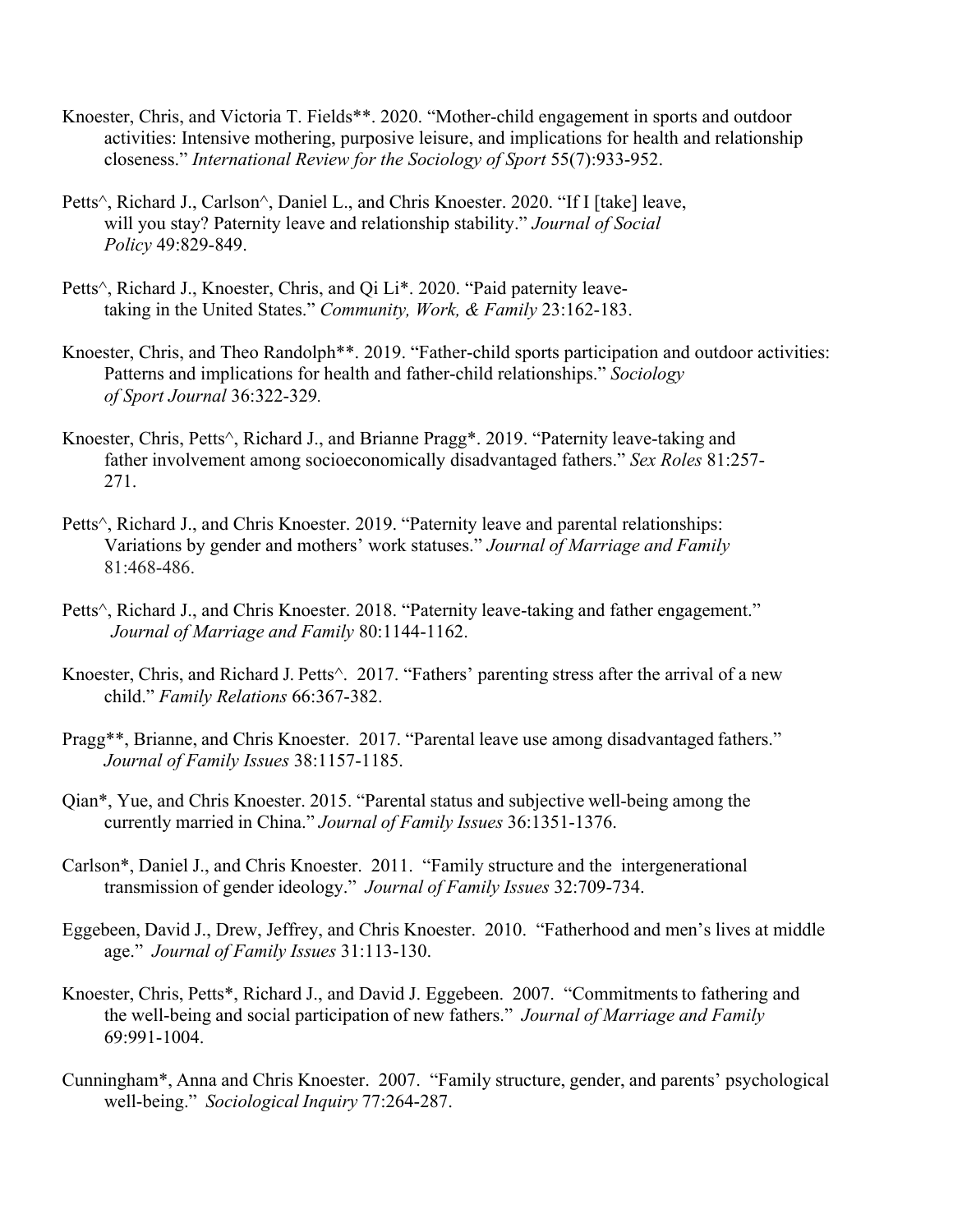- Knoester, Chris, and Victoria T. Fields\*\*. 2020. "Mother-child engagement in sports and outdoor activities: Intensive mothering, purposive leisure, and implications for health and relationship closeness." *International Review for the Sociology of Sport* 55(7):933-952.
- Petts^, Richard J., Carlson^, Daniel L., and Chris Knoester. 2020. "If I [take] leave, will you stay? Paternity leave and relationship stability." *Journal of Social Policy* 49:829-849.
- Petts^, Richard J., Knoester, Chris, and Qi Li\*. 2020. "Paid paternity leavetaking in the United States." *Community, Work, & Family* 23:162-183.
- Knoester, Chris, and Theo Randolph\*\*. 2019. "Father-child sports participation and outdoor activities: Patterns and implications for health and father-child relationships." *Sociology of Sport Journal* 36:322-329*.*
- Knoester, Chris, Petts^, Richard J., and Brianne Pragg\*. 2019. "Paternity leave-taking and father involvement among socioeconomically disadvantaged fathers." *Sex Roles* 81:257- 271.
- Petts^, Richard J., and Chris Knoester. 2019. "Paternity leave and parental relationships: Variations by gender and mothers' work statuses." *Journal of Marriage and Family* 81:468-486.
- Petts^, Richard J., and Chris Knoester. 2018. "Paternity leave-taking and father engagement." *Journal of Marriage and Family* 80:1144-1162.
- Knoester, Chris, and Richard J. Petts^. 2017. "Fathers' parenting stress after the arrival of a new child." *Family Relations* 66:367-382.
- Pragg\*\*, Brianne, and Chris Knoester. 2017. "Parental leave use among disadvantaged fathers." *Journal of Family Issues* 38:1157-1185.
- Qian\*, Yue, and Chris Knoester. 2015. "Parental status and subjective well-being among the currently married in China." *Journal of Family Issues* 36:1351-1376.
- Carlson\*, Daniel J., and Chris Knoester. 2011. "Family structure and the intergenerational transmission of gender ideology." *Journal of Family Issues* 32:709-734.
- Eggebeen, David J., Drew, Jeffrey, and Chris Knoester. 2010. "Fatherhood and men's lives at middle age." *Journal of Family Issues* 31:113-130.
- Knoester, Chris, Petts\*, Richard J., and David J. Eggebeen. 2007. "Commitments to fathering and the well-being and social participation of new fathers." *Journal of Marriage and Family* 69:991-1004.
- Cunningham\*, Anna and Chris Knoester. 2007. "Family structure, gender, and parents' psychological well-being." *Sociological Inquiry* 77:264-287.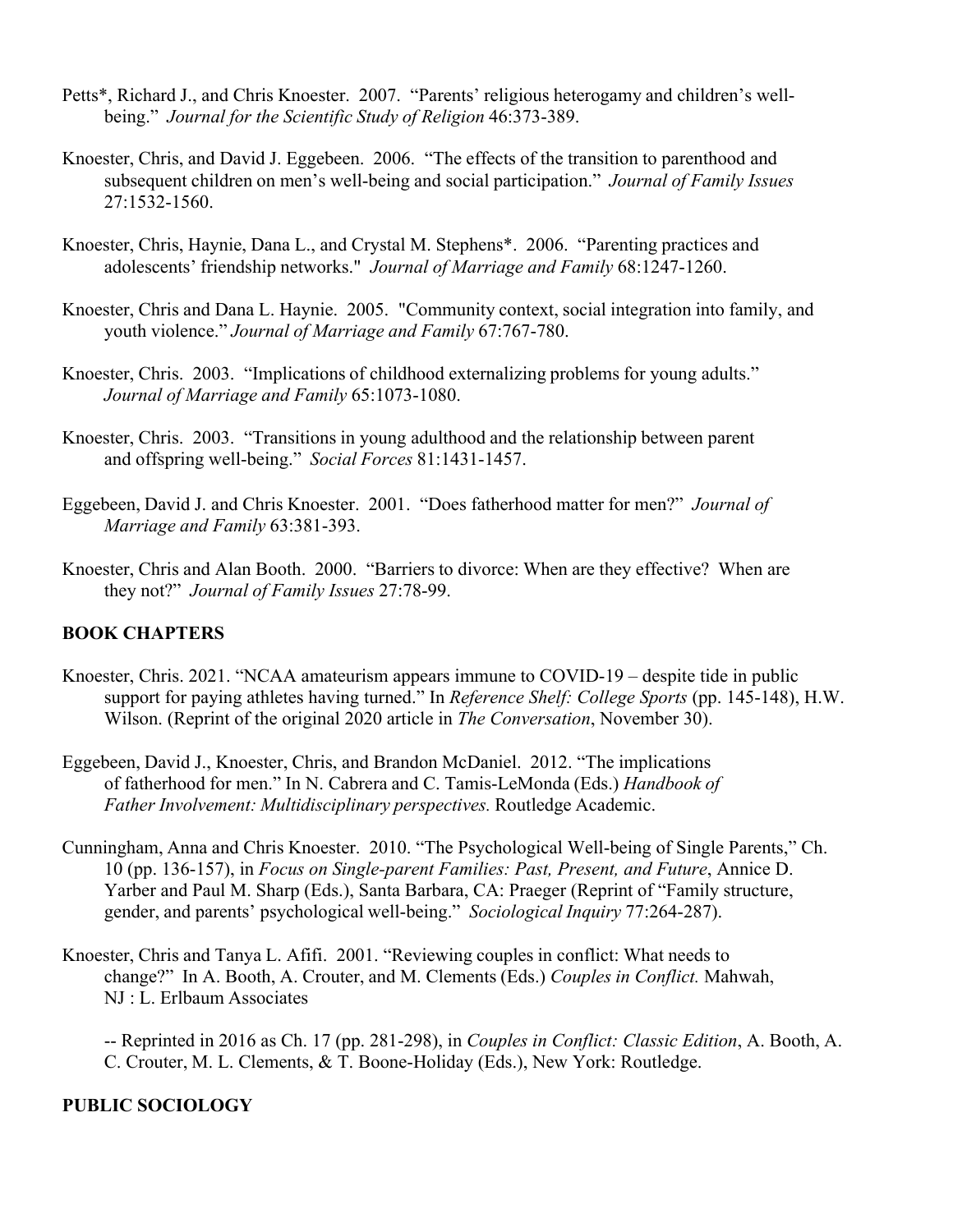- Petts\*, Richard J., and Chris Knoester. 2007. "Parents' religious heterogamy and children's wellbeing." *Journal for the Scientific Study of Religion* 46:373-389.
- Knoester, Chris, and David J. Eggebeen. 2006. "The effects of the transition to parenthood and subsequent children on men's well-being and social participation." *Journal of Family Issues* 27:1532-1560.
- Knoester, Chris, Haynie, Dana L., and Crystal M. Stephens\*. 2006. "Parenting practices and adolescents' friendship networks." *Journal of Marriage and Family* 68:1247-1260.
- Knoester, Chris and Dana L. Haynie. 2005. "Community context, social integration into family, and youth violence." *Journal of Marriage and Family* 67:767-780.
- Knoester, Chris. 2003. "Implications of childhood externalizing problems for young adults." *Journal of Marriage and Family* 65:1073-1080.
- Knoester, Chris. 2003. "Transitions in young adulthood and the relationship between parent and offspring well-being." *Social Forces* 81:1431-1457.
- Eggebeen, David J. and Chris Knoester. 2001. "Does fatherhood matter for men?" *Journal of Marriage and Family* 63:381-393.
- Knoester, Chris and Alan Booth. 2000. "Barriers to divorce: When are they effective? When are they not?" *Journal of Family Issues* 27:78-99.

# **BOOK CHAPTERS**

- Knoester, Chris. 2021. "NCAA amateurism appears immune to COVID-19 despite tide in public support for paying athletes having turned." In *Reference Shelf: College Sports* (pp. 145-148), H.W. Wilson. (Reprint of the original 2020 article in *The Conversation*, November 30).
- Eggebeen, David J., Knoester, Chris, and Brandon McDaniel. 2012. "The implications of fatherhood for men." In N. Cabrera and C. Tamis-LeMonda (Eds.) *Handbook of Father Involvement: Multidisciplinary perspectives.* Routledge Academic.
- Cunningham, Anna and Chris Knoester. 2010. "The Psychological Well-being of Single Parents," Ch. 10 (pp. 136-157), in *Focus on Single-parent Families: Past, Present, and Future*, Annice D. Yarber and Paul M. Sharp (Eds.), Santa Barbara, CA: Praeger (Reprint of "Family structure, gender, and parents' psychological well-being." *Sociological Inquiry* 77:264-287).
- Knoester, Chris and Tanya L. Afifi. 2001. "Reviewing couples in conflict: What needs to change?" In A. Booth, A. Crouter, and M. Clements (Eds.) *Couples in Conflict.* Mahwah, NJ : L. Erlbaum Associates
	- -- Reprinted in 2016 as Ch. 17 (pp. 281-298), in *Couples in Conflict: Classic Edition*, A. Booth, A. C. Crouter, M. L. Clements, & T. Boone-Holiday (Eds.), New York: Routledge.

#### **PUBLIC SOCIOLOGY**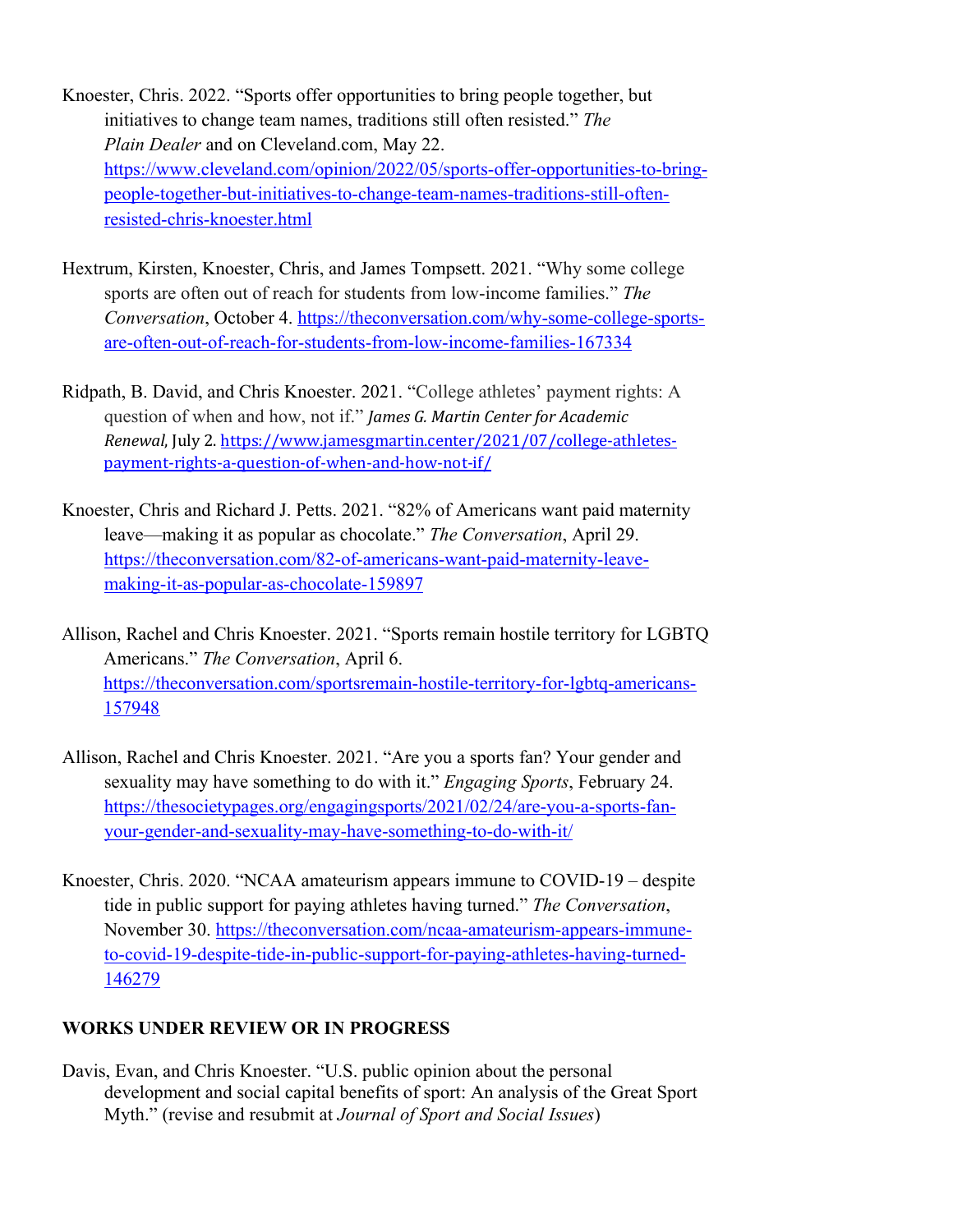- Knoester, Chris. 2022. "Sports offer opportunities to bring people together, but initiatives to change team names, traditions still often resisted." *The Plain Dealer* and on Cleveland.com, May 22. https://www.cleveland.com/opinion/2022/05/sports-offer-opportunities-to-bringpeople-together-but-initiatives-to-change-team-names-traditions-still-oftenresisted-chris-knoester.html
- Hextrum, Kirsten, Knoester, Chris, and James Tompsett. 2021. "Why some college sports are often out of reach for students from low-income families." *The Conversation*, October 4. https://theconversation.com/why-some-college-sportsare-often-out-of-reach-for-students-from-low-income-families-167334
- Ridpath, B. David, and Chris Knoester. 2021. "College athletes' payment rights: A question of when and how, not if." *James G. Martin Center for Academic Renewal*, July 2. https://www.jamesgmartin.center/2021/07/college-athletespayment-rights-a-question-of-when-and-how-not-if/
- Knoester, Chris and Richard J. Petts. 2021. "82% of Americans want paid maternity leave—making it as popular as chocolate." *The Conversation*, April 29. https://theconversation.com/82-of-americans-want-paid-maternity-leavemaking-it-as-popular-as-chocolate-159897

Allison, Rachel and Chris Knoester. 2021. "Sports remain hostile territory for LGBTQ Americans." *The Conversation*, April 6. https://theconversation.com/sportsremain-hostile-territory-for-lgbtq-americans-157948

- Allison, Rachel and Chris Knoester. 2021. "Are you a sports fan? Your gender and sexuality may have something to do with it." *Engaging Sports*, February 24. https://thesocietypages.org/engagingsports/2021/02/24/are-you-a-sports-fanyour-gender-and-sexuality-may-have-something-to-do-with-it/
- Knoester, Chris. 2020. "NCAA amateurism appears immune to COVID-19 despite tide in public support for paying athletes having turned." *The Conversation*, November 30. https://theconversation.com/ncaa-amateurism-appears-immuneto-covid-19-despite-tide-in-public-support-for-paying-athletes-having-turned-146279

# **WORKS UNDER REVIEW OR IN PROGRESS**

Davis, Evan, and Chris Knoester. "U.S. public opinion about the personal development and social capital benefits of sport: An analysis of the Great Sport Myth." (revise and resubmit at *Journal of Sport and Social Issues*)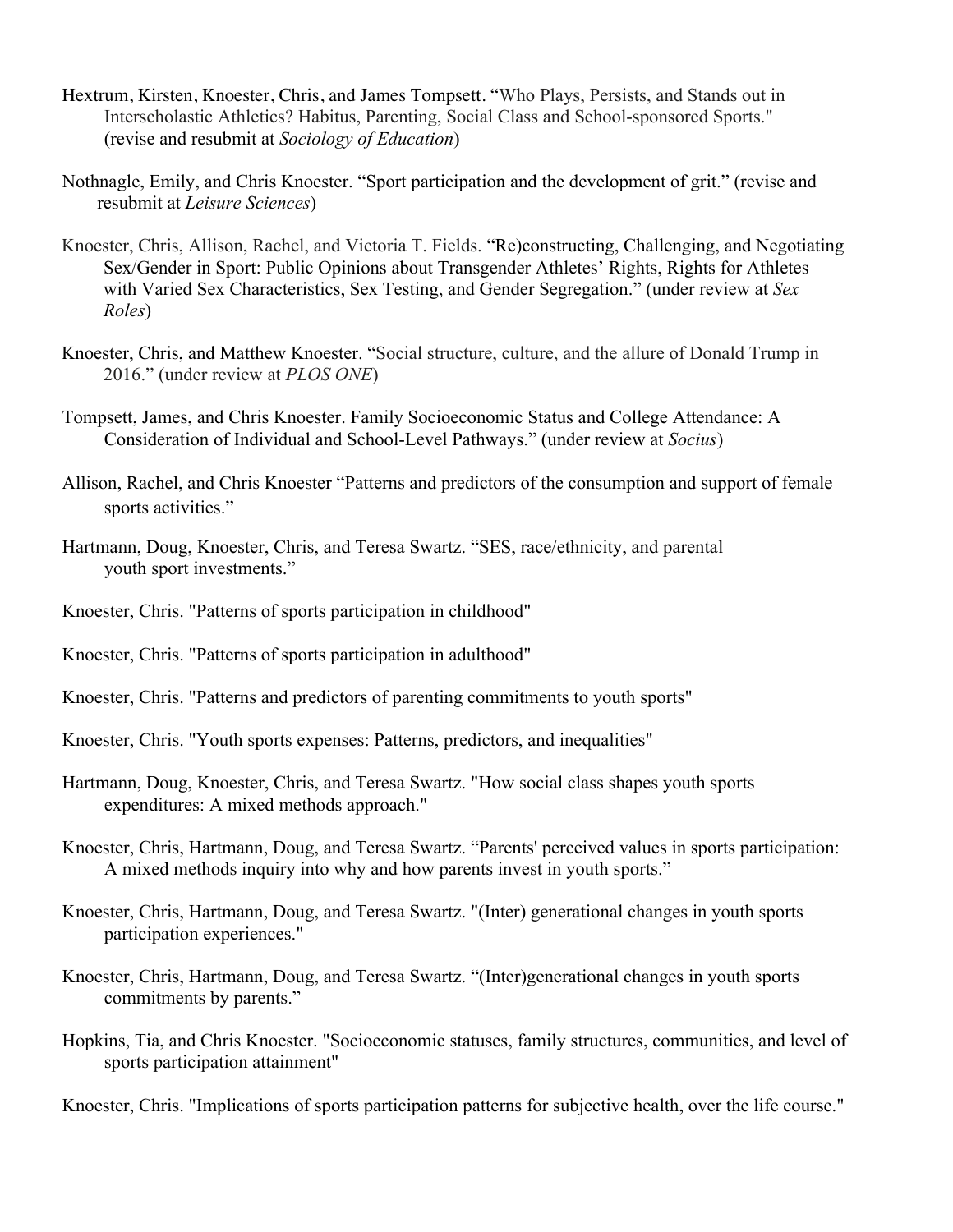- Hextrum, Kirsten, Knoester, Chris, and James Tompsett. "Who Plays, Persists, and Stands out in Interscholastic Athletics? Habitus, Parenting, Social Class and School-sponsored Sports." (revise and resubmit at *Sociology of Education*)
- Nothnagle, Emily, and Chris Knoester. "Sport participation and the development of grit." (revise and resubmit at *Leisure Sciences*)
- Knoester, Chris, Allison, Rachel, and Victoria T. Fields. "Re)constructing, Challenging, and Negotiating Sex/Gender in Sport: Public Opinions about Transgender Athletes' Rights, Rights for Athletes with Varied Sex Characteristics, Sex Testing, and Gender Segregation." (under review at *Sex Roles*)
- Knoester, Chris, and Matthew Knoester. "Social structure, culture, and the allure of Donald Trump in 2016." (under review at *PLOS ONE*)
- Tompsett, James, and Chris Knoester. Family Socioeconomic Status and College Attendance: A Consideration of Individual and School-Level Pathways." (under review at *Socius*)
- Allison, Rachel, and Chris Knoester "Patterns and predictors of the consumption and support of female sports activities."
- Hartmann, Doug, Knoester, Chris, and Teresa Swartz. "SES, race/ethnicity, and parental youth sport investments."
- Knoester, Chris. "Patterns of sports participation in childhood"
- Knoester, Chris. "Patterns of sports participation in adulthood"
- Knoester, Chris. "Patterns and predictors of parenting commitments to youth sports"
- Knoester, Chris. "Youth sports expenses: Patterns, predictors, and inequalities"
- Hartmann, Doug, Knoester, Chris, and Teresa Swartz. "How social class shapes youth sports expenditures: A mixed methods approach."
- Knoester, Chris, Hartmann, Doug, and Teresa Swartz. "Parents' perceived values in sports participation: A mixed methods inquiry into why and how parents invest in youth sports."
- Knoester, Chris, Hartmann, Doug, and Teresa Swartz. "(Inter) generational changes in youth sports participation experiences."
- Knoester, Chris, Hartmann, Doug, and Teresa Swartz. "(Inter)generational changes in youth sports commitments by parents."
- Hopkins, Tia, and Chris Knoester. "Socioeconomic statuses, family structures, communities, and level of sports participation attainment"

Knoester, Chris. "Implications of sports participation patterns for subjective health, over the life course."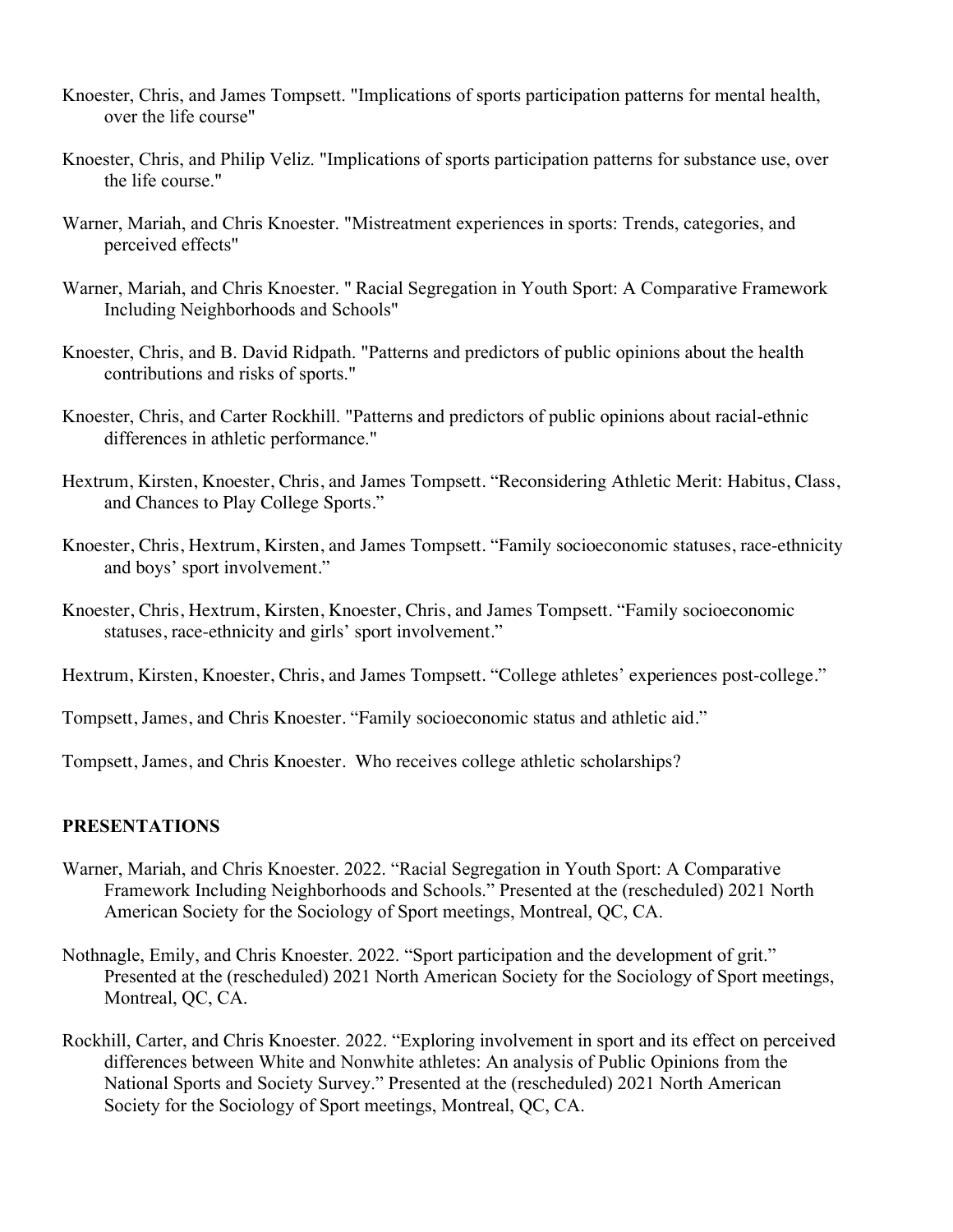- Knoester, Chris, and James Tompsett. "Implications of sports participation patterns for mental health, over the life course"
- Knoester, Chris, and Philip Veliz. "Implications of sports participation patterns for substance use, over the life course."
- Warner, Mariah, and Chris Knoester. "Mistreatment experiences in sports: Trends, categories, and perceived effects"
- Warner, Mariah, and Chris Knoester. " Racial Segregation in Youth Sport: A Comparative Framework Including Neighborhoods and Schools"
- Knoester, Chris, and B. David Ridpath. "Patterns and predictors of public opinions about the health contributions and risks of sports."
- Knoester, Chris, and Carter Rockhill. "Patterns and predictors of public opinions about racial-ethnic differences in athletic performance."
- Hextrum, Kirsten, Knoester, Chris, and James Tompsett. "Reconsidering Athletic Merit: Habitus, Class, and Chances to Play College Sports."
- Knoester, Chris, Hextrum, Kirsten, and James Tompsett. "Family socioeconomic statuses, race-ethnicity and boys' sport involvement."
- Knoester, Chris, Hextrum, Kirsten, Knoester, Chris, and James Tompsett. "Family socioeconomic statuses, race-ethnicity and girls' sport involvement."
- Hextrum, Kirsten, Knoester, Chris, and James Tompsett. "College athletes' experiences post-college."
- Tompsett, James, and Chris Knoester. "Family socioeconomic status and athletic aid."
- Tompsett, James, and Chris Knoester. Who receives college athletic scholarships?

#### **PRESENTATIONS**

- Warner, Mariah, and Chris Knoester. 2022. "Racial Segregation in Youth Sport: A Comparative Framework Including Neighborhoods and Schools." Presented at the (rescheduled) 2021 North American Society for the Sociology of Sport meetings, Montreal, QC, CA.
- Nothnagle, Emily, and Chris Knoester. 2022. "Sport participation and the development of grit." Presented at the (rescheduled) 2021 North American Society for the Sociology of Sport meetings, Montreal, QC, CA.
- Rockhill, Carter, and Chris Knoester. 2022. "Exploring involvement in sport and its effect on perceived differences between White and Nonwhite athletes: An analysis of Public Opinions from the National Sports and Society Survey." Presented at the (rescheduled) 2021 North American Society for the Sociology of Sport meetings, Montreal, QC, CA.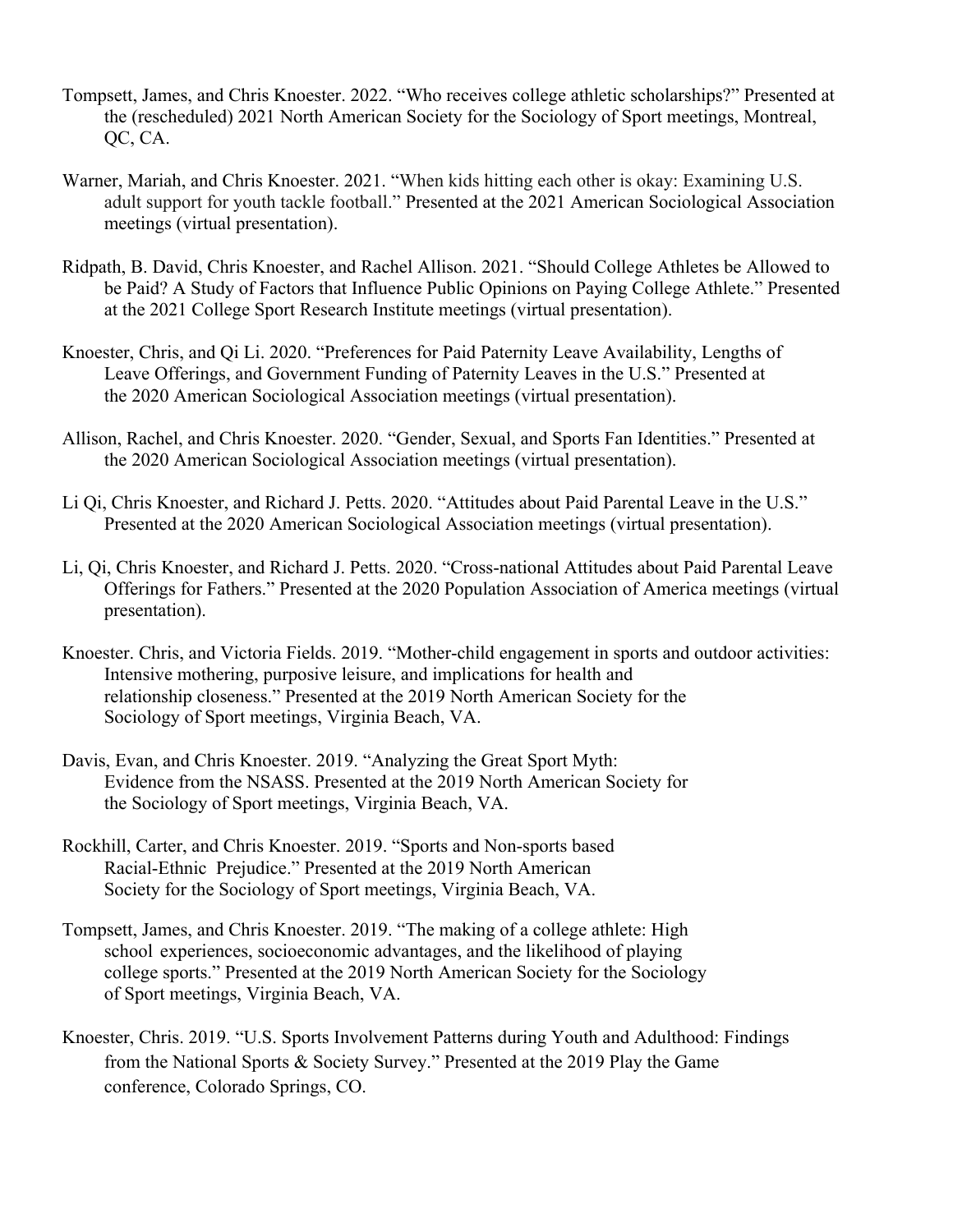- Tompsett, James, and Chris Knoester. 2022. "Who receives college athletic scholarships?" Presented at the (rescheduled) 2021 North American Society for the Sociology of Sport meetings, Montreal, QC, CA.
- Warner, Mariah, and Chris Knoester. 2021. "When kids hitting each other is okay: Examining U.S. adult support for youth tackle football." Presented at the 2021 American Sociological Association meetings (virtual presentation).
- Ridpath, B. David, Chris Knoester, and Rachel Allison. 2021. "Should College Athletes be Allowed to be Paid? A Study of Factors that Influence Public Opinions on Paying College Athlete." Presented at the 2021 College Sport Research Institute meetings (virtual presentation).
- Knoester, Chris, and Qi Li. 2020. "Preferences for Paid Paternity Leave Availability, Lengths of Leave Offerings, and Government Funding of Paternity Leaves in the U.S." Presented at the 2020 American Sociological Association meetings (virtual presentation).
- Allison, Rachel, and Chris Knoester. 2020. "Gender, Sexual, and Sports Fan Identities." Presented at the 2020 American Sociological Association meetings (virtual presentation).
- Li Qi, Chris Knoester, and Richard J. Petts. 2020. "Attitudes about Paid Parental Leave in the U.S." Presented at the 2020 American Sociological Association meetings (virtual presentation).
- Li, Qi, Chris Knoester, and Richard J. Petts. 2020. "Cross-national Attitudes about Paid Parental Leave Offerings for Fathers." Presented at the 2020 Population Association of America meetings (virtual presentation).
- Knoester. Chris, and Victoria Fields. 2019. "Mother-child engagement in sports and outdoor activities: Intensive mothering, purposive leisure, and implications for health and relationship closeness." Presented at the 2019 North American Society for the Sociology of Sport meetings, Virginia Beach, VA.
- Davis, Evan, and Chris Knoester. 2019. "Analyzing the Great Sport Myth: Evidence from the NSASS. Presented at the 2019 North American Society for the Sociology of Sport meetings, Virginia Beach, VA.
- Rockhill, Carter, and Chris Knoester. 2019. "Sports and Non-sports based Racial-Ethnic Prejudice." Presented at the 2019 North American Society for the Sociology of Sport meetings, Virginia Beach, VA.
- Tompsett, James, and Chris Knoester. 2019. "The making of a college athlete: High school experiences, socioeconomic advantages, and the likelihood of playing college sports." Presented at the 2019 North American Society for the Sociology of Sport meetings, Virginia Beach, VA.
- Knoester, Chris. 2019. "U.S. Sports Involvement Patterns during Youth and Adulthood: Findings from the National Sports & Society Survey." Presented at the 2019 Play the Game conference, Colorado Springs, CO.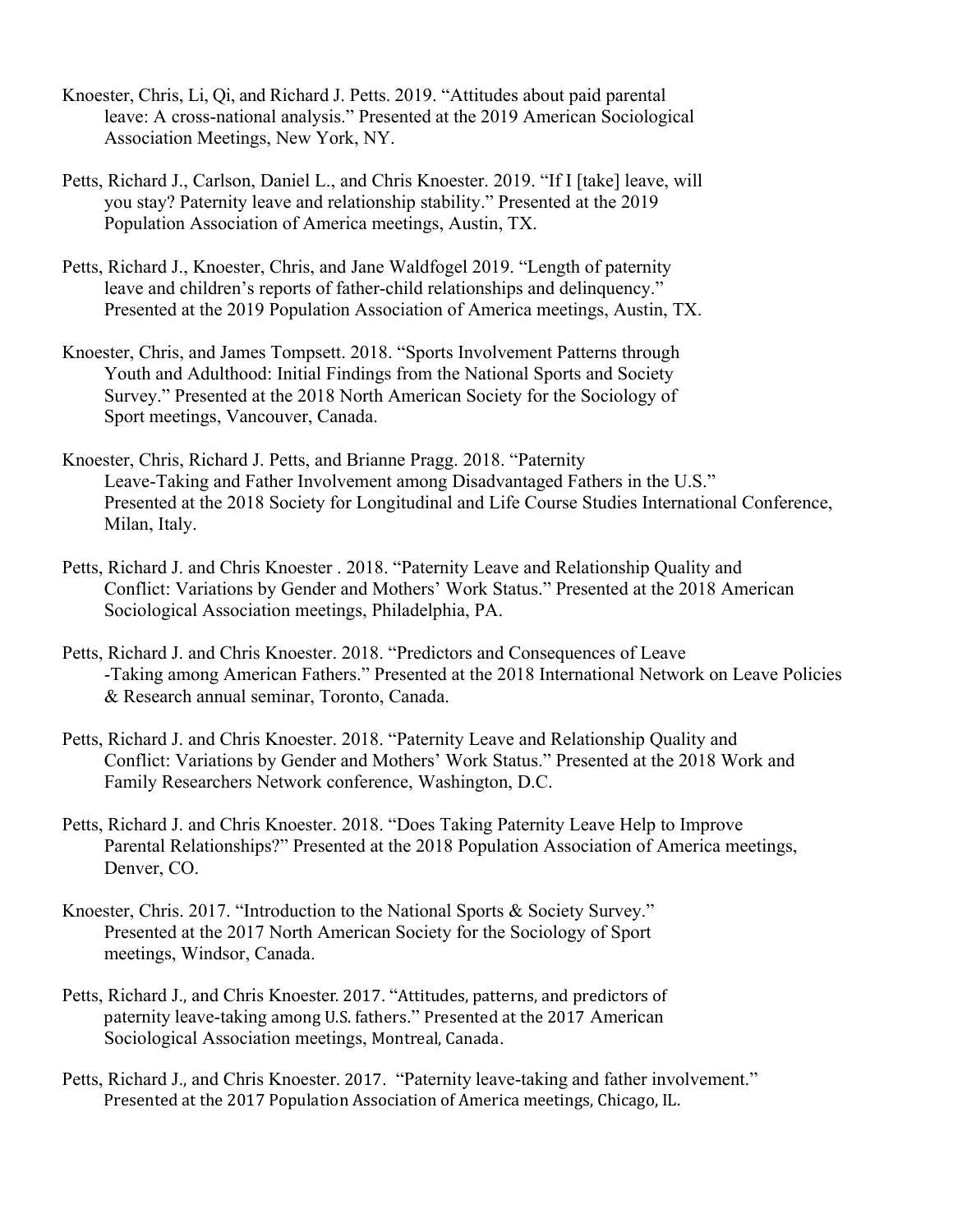- Knoester, Chris, Li, Qi, and Richard J. Petts. 2019. "Attitudes about paid parental leave: A cross-national analysis." Presented at the 2019 American Sociological Association Meetings, New York, NY.
- Petts, Richard J., Carlson, Daniel L., and Chris Knoester. 2019. "If I [take] leave, will you stay? Paternity leave and relationship stability." Presented at the 2019 Population Association of America meetings, Austin, TX.
- Petts, Richard J., Knoester, Chris, and Jane Waldfogel 2019. "Length of paternity leave and children's reports of father-child relationships and delinquency." Presented at the 2019 Population Association of America meetings, Austin, TX.
- Knoester, Chris, and James Tompsett. 2018. "Sports Involvement Patterns through Youth and Adulthood: Initial Findings from the National Sports and Society Survey." Presented at the 2018 North American Society for the Sociology of Sport meetings, Vancouver, Canada.
- Knoester, Chris, Richard J. Petts, and Brianne Pragg. 2018. "Paternity Leave-Taking and Father Involvement among Disadvantaged Fathers in the U.S." Presented at the 2018 Society for Longitudinal and Life Course Studies International Conference, Milan, Italy.
- Petts, Richard J. and Chris Knoester . 2018. "Paternity Leave and Relationship Quality and Conflict: Variations by Gender and Mothers' Work Status." Presented at the 2018 American Sociological Association meetings, Philadelphia, PA.
- Petts, Richard J. and Chris Knoester. 2018. "Predictors and Consequences of Leave -Taking among American Fathers." Presented at the 2018 International Network on Leave Policies & Research annual seminar, Toronto, Canada.
- Petts, Richard J. and Chris Knoester. 2018. "Paternity Leave and Relationship Quality and Conflict: Variations by Gender and Mothers' Work Status." Presented at the 2018 Work and Family Researchers Network conference, Washington, D.C.
- Petts, Richard J. and Chris Knoester. 2018. "Does Taking Paternity Leave Help to Improve Parental Relationships?" Presented at the 2018 Population Association of America meetings, Denver, CO.
- Knoester, Chris. 2017. "Introduction to the National Sports & Society Survey." Presented at the 2017 North American Society for the Sociology of Sport meetings, Windsor, Canada.
- Petts, Richard J., and Chris Knoester. 2017. "Attitudes, patterns, and predictors of paternity leave-taking among U.S. fathers." Presented at the 2017 American Sociological Association meetings, Montreal, Canada.
- Petts, Richard J., and Chris Knoester. 2017. "Paternity leave-taking and father involvement." Presented at the 2017 Population Association of America meetings, Chicago, IL.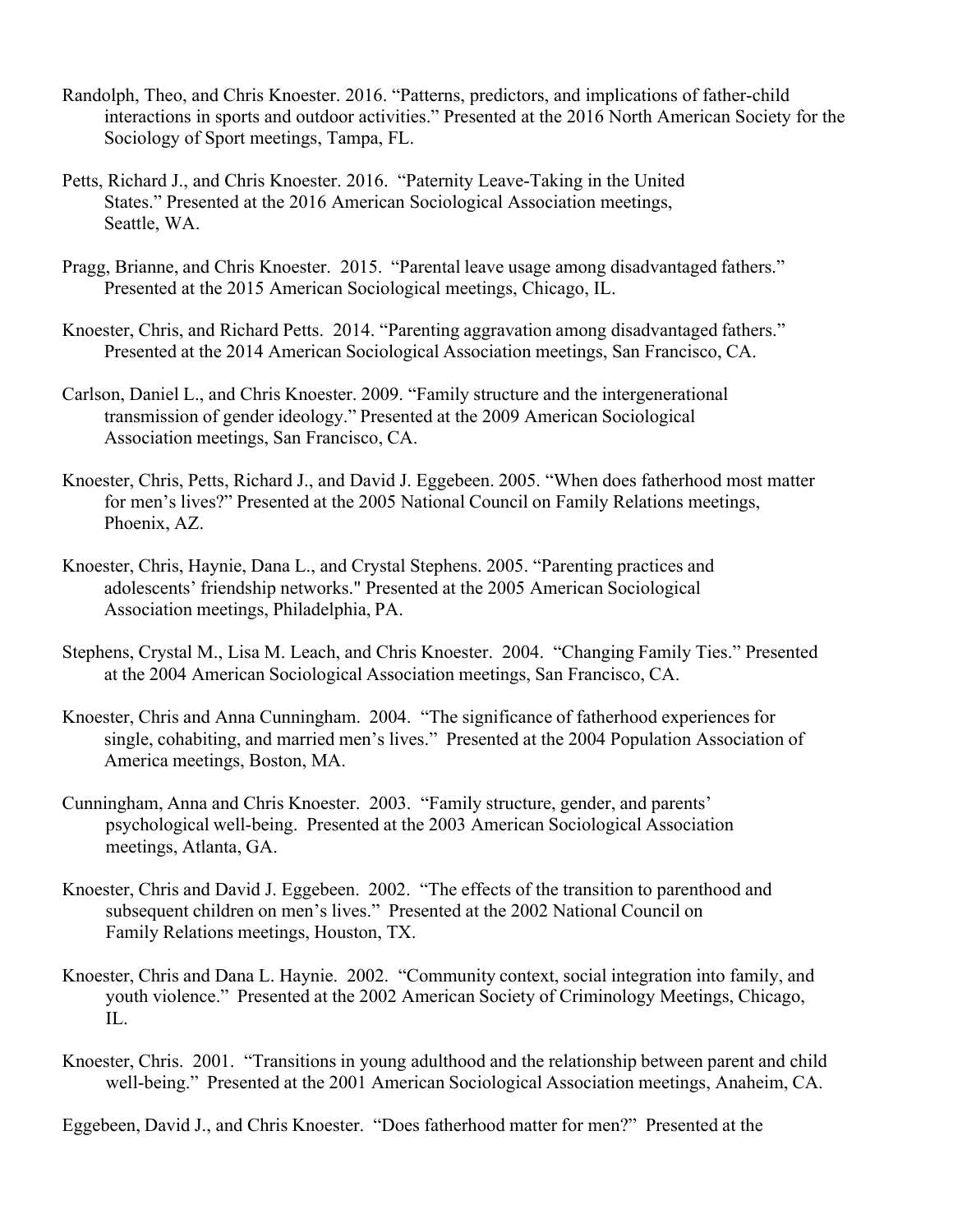- Randolph, Theo, and Chris Knoester. 2016. "Patterns, predictors, and implications of father-child interactions in sports and outdoor activities." Presented at the 2016 North American Society for the Sociology of Sport meetings, Tampa, FL.
- Petts, Richard J., and Chris Knoester. 2016. "Paternity Leave-Taking in the United States." Presented at the 2016 American Sociological Association meetings, Seattle, WA.
- Pragg, Brianne, and Chris Knoester. 2015. "Parental leave usage among disadvantaged fathers." Presented at the 2015 American Sociological meetings, Chicago, IL.
- Knoester, Chris, and Richard Petts. 2014. "Parenting aggravation among disadvantaged fathers." Presented at the 2014 American Sociological Association meetings, San Francisco, CA.
- Carlson, Daniel L., and Chris Knoester. 2009. "Family structure and the intergenerational transmission of gender ideology." Presented at the 2009 American Sociological Association meetings, San Francisco, CA.
- Knoester, Chris, Petts, Richard J., and David J. Eggebeen. 2005. "When does fatherhood most matter for men's lives?" Presented at the 2005 National Council on Family Relations meetings, Phoenix, AZ.
- Knoester, Chris, Haynie, Dana L., and Crystal Stephens. 2005. "Parenting practices and adolescents' friendship networks." Presented at the 2005 American Sociological Association meetings, Philadelphia, PA.
- Stephens, Crystal M., Lisa M. Leach, and Chris Knoester. 2004. "Changing Family Ties." Presented at the 2004 American Sociological Association meetings, San Francisco, CA.
- Knoester, Chris and Anna Cunningham. 2004. "The significance of fatherhood experiences for single, cohabiting, and married men's lives." Presented at the 2004 Population Association of America meetings, Boston, MA.
- Cunningham, Anna and Chris Knoester. 2003. "Family structure, gender, and parents' psychological well-being. Presented at the 2003 American Sociological Association meetings, Atlanta, GA.
- Knoester, Chris and David J. Eggebeen. 2002. "The effects of the transition to parenthood and subsequent children on men's lives." Presented at the 2002 National Council on Family Relations meetings, Houston, TX.
- Knoester, Chris and Dana L. Haynie. 2002. "Community context, social integration into family, and youth violence." Presented at the 2002 American Society of Criminology Meetings, Chicago, IL.
- Knoester, Chris. 2001. "Transitions in young adulthood and the relationship between parent and child well-being." Presented at the 2001 American Sociological Association meetings, Anaheim, CA.

Eggebeen, David J., and Chris Knoester. "Does fatherhood matter for men?" Presented at the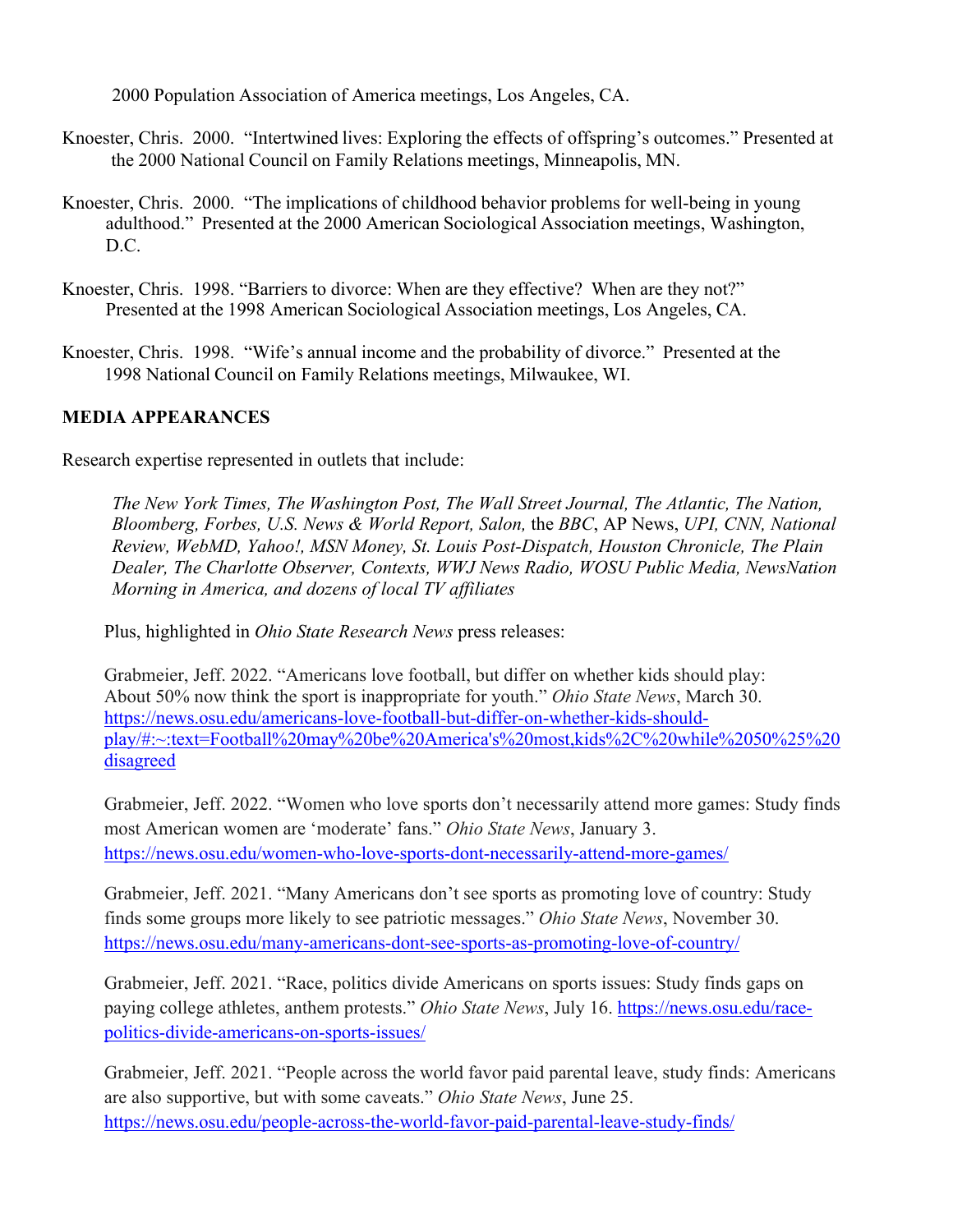2000 Population Association of America meetings, Los Angeles, CA.

- Knoester, Chris. 2000. "Intertwined lives: Exploring the effects of offspring's outcomes." Presented at the 2000 National Council on Family Relations meetings, Minneapolis, MN.
- Knoester, Chris. 2000. "The implications of childhood behavior problems for well-being in young adulthood." Presented at the 2000 American Sociological Association meetings, Washington, D.C.
- Knoester, Chris. 1998. "Barriers to divorce: When are they effective? When are they not?" Presented at the 1998 American Sociological Association meetings, Los Angeles, CA.
- Knoester, Chris. 1998. "Wife's annual income and the probability of divorce." Presented at the 1998 National Council on Family Relations meetings, Milwaukee, WI.

# **MEDIA APPEARANCES**

Research expertise represented in outlets that include:

*The New York Times, The Washington Post, The Wall Street Journal, The Atlantic, The Nation, Bloomberg, Forbes, U.S. News & World Report, Salon,* the *BBC*, AP News, *UPI, CNN, National Review, WebMD, Yahoo!, MSN Money, St. Louis Post-Dispatch, Houston Chronicle, The Plain Dealer, The Charlotte Observer, Contexts, WWJ News Radio, WOSU Public Media, NewsNation Morning in America, and dozens of local TV affiliates*

Plus, highlighted in *Ohio State Research News* press releases:

Grabmeier, Jeff. 2022. "Americans love football, but differ on whether kids should play: About 50% now think the sport is inappropriate for youth." *Ohio State News*, March 30. https://news.osu.edu/americans-love-football-but-differ-on-whether-kids-shouldplay/#:~:text=Football%20may%20be%20America's%20most,kids%2C%20while%2050%25%20 disagreed

Grabmeier, Jeff. 2022. "Women who love sports don't necessarily attend more games: Study finds most American women are 'moderate' fans." *Ohio State News*, January 3. https://news.osu.edu/women-who-love-sports-dont-necessarily-attend-more-games/

Grabmeier, Jeff. 2021. "Many Americans don't see sports as promoting love of country: Study finds some groups more likely to see patriotic messages." *Ohio State News*, November 30. https://news.osu.edu/many-americans-dont-see-sports-as-promoting-love-of-country/

Grabmeier, Jeff. 2021. "Race, politics divide Americans on sports issues: Study finds gaps on paying college athletes, anthem protests." *Ohio State News*, July 16. https://news.osu.edu/racepolitics-divide-americans-on-sports-issues/

Grabmeier, Jeff. 2021. "People across the world favor paid parental leave, study finds: Americans are also supportive, but with some caveats." *Ohio State News*, June 25. https://news.osu.edu/people-across-the-world-favor-paid-parental-leave-study-finds/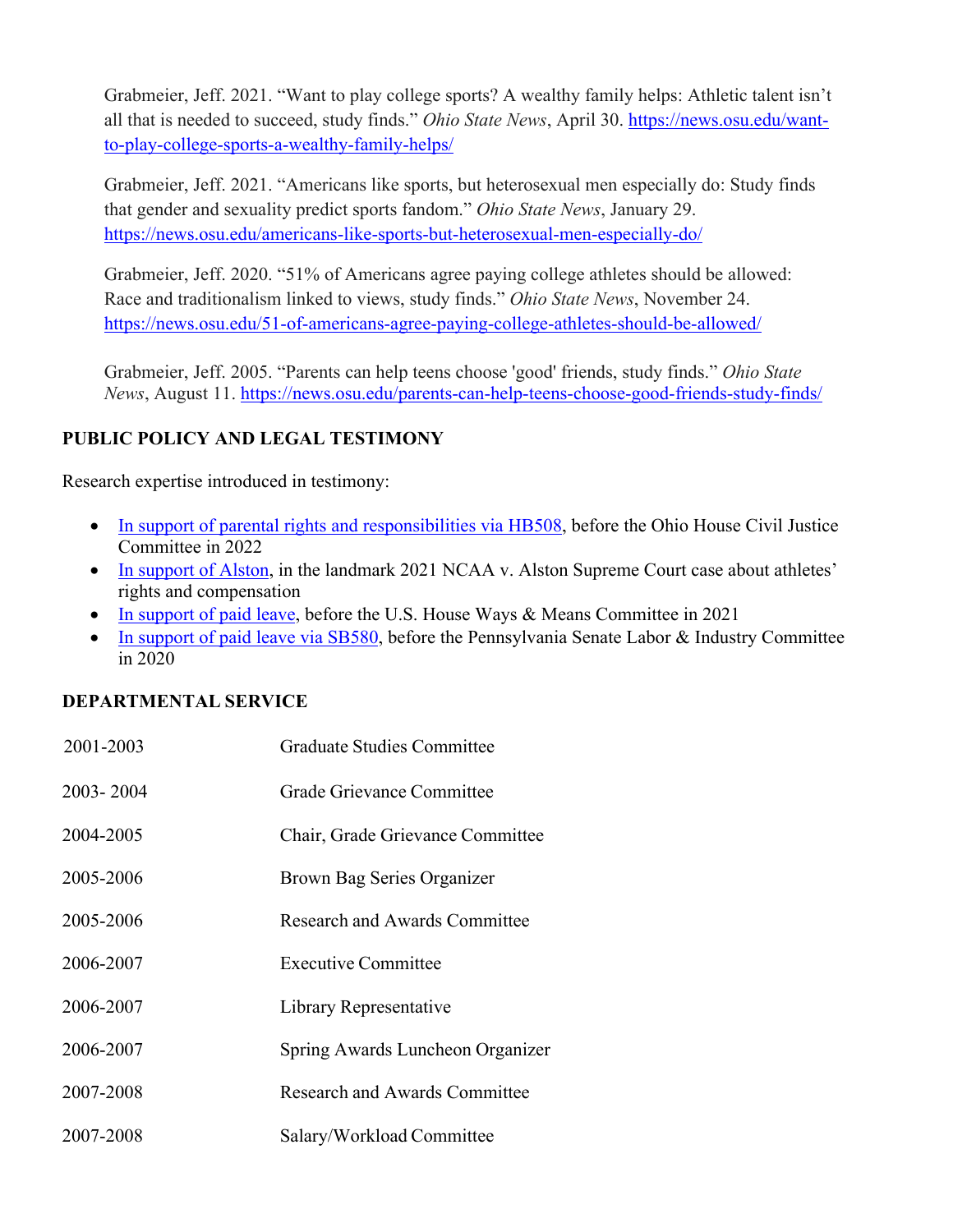Grabmeier, Jeff. 2021. "Want to play college sports? A wealthy family helps: Athletic talent isn't all that is needed to succeed, study finds." *Ohio State News*, April 30. https://news.osu.edu/wantto-play-college-sports-a-wealthy-family-helps/

Grabmeier, Jeff. 2021. "Americans like sports, but heterosexual men especially do: Study finds that gender and sexuality predict sports fandom." *Ohio State News*, January 29. https://news.osu.edu/americans-like-sports-but-heterosexual-men-especially-do/

Grabmeier, Jeff. 2020. "51% of Americans agree paying college athletes should be allowed: Race and traditionalism linked to views, study finds." *Ohio State News*, November 24. https://news.osu.edu/51-of-americans-agree-paying-college-athletes-should-be-allowed/

Grabmeier, Jeff. 2005. "Parents can help teens choose 'good' friends, study finds." *Ohio State News*, August 11. https://news.osu.edu/parents-can-help-teens-choose-good-friends-study-finds/

# **PUBLIC POLICY AND LEGAL TESTIMONY**

Research expertise introduced in testimony:

- In support of parental rights and responsibilities via HB508, before the Ohio House Civil Justice Committee in 2022
- In support of Alston, in the landmark 2021 NCAA v. Alston Supreme Court case about athletes' rights and compensation
- In support of paid leave, before the U.S. House Ways & Means Committee in 2021
- In support of paid leave via SB580, before the Pennsylvania Senate Labor & Industry Committee in 2020

# **DEPARTMENTAL SERVICE**

| 2001-2003 | Graduate Studies Committee           |
|-----------|--------------------------------------|
| 2003-2004 | Grade Grievance Committee            |
| 2004-2005 | Chair, Grade Grievance Committee     |
| 2005-2006 | Brown Bag Series Organizer           |
| 2005-2006 | Research and Awards Committee        |
| 2006-2007 | Executive Committee                  |
| 2006-2007 | Library Representative               |
| 2006-2007 | Spring Awards Luncheon Organizer     |
| 2007-2008 | <b>Research and Awards Committee</b> |
| 2007-2008 | Salary/Workload Committee            |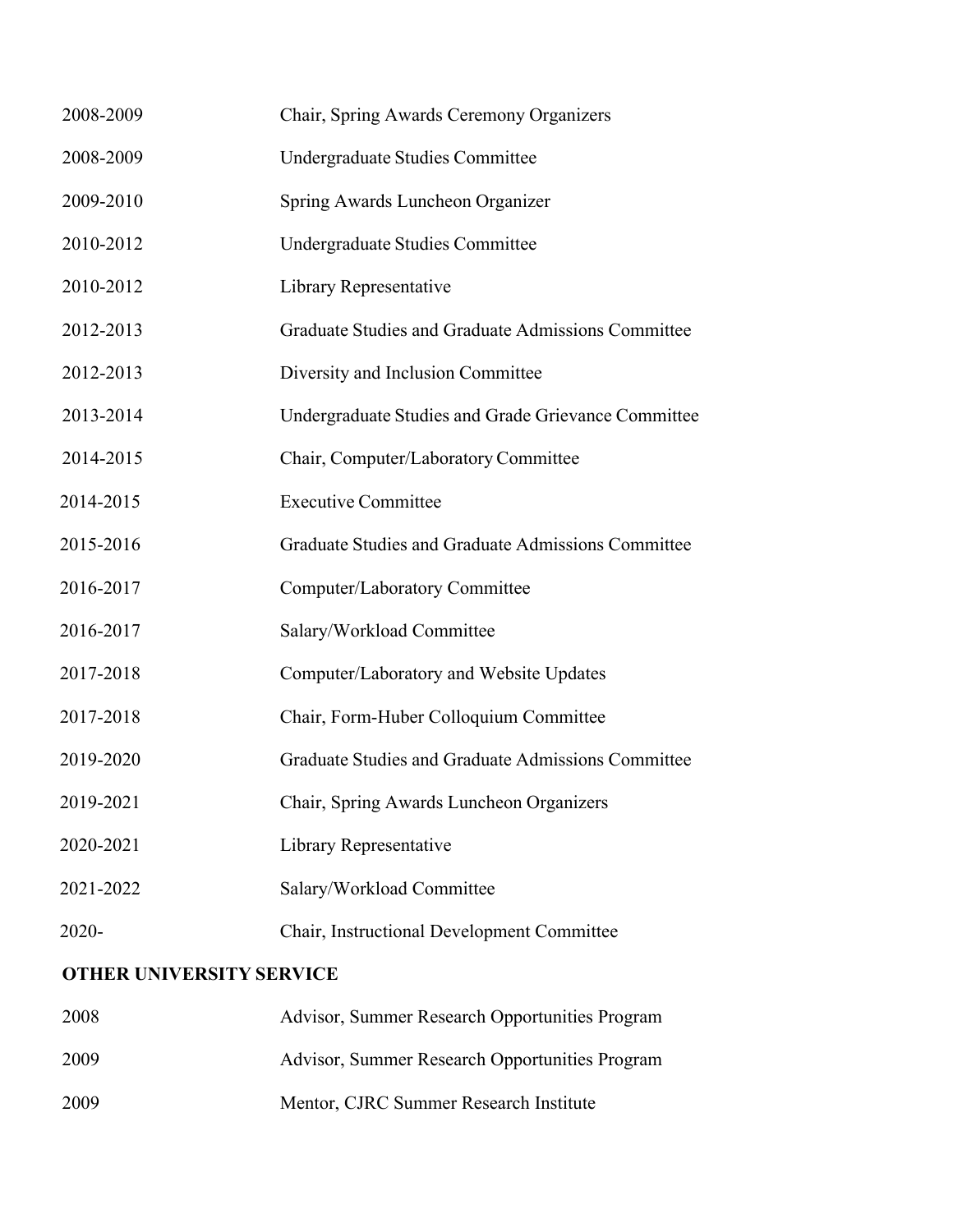| 2008-2009                       | Chair, Spring Awards Ceremony Organizers            |  |
|---------------------------------|-----------------------------------------------------|--|
| 2008-2009                       | Undergraduate Studies Committee                     |  |
| 2009-2010                       | Spring Awards Luncheon Organizer                    |  |
|                                 |                                                     |  |
| 2010-2012                       | Undergraduate Studies Committee                     |  |
| 2010-2012                       | Library Representative                              |  |
| 2012-2013                       | Graduate Studies and Graduate Admissions Committee  |  |
| 2012-2013                       | Diversity and Inclusion Committee                   |  |
| 2013-2014                       | Undergraduate Studies and Grade Grievance Committee |  |
| 2014-2015                       | Chair, Computer/Laboratory Committee                |  |
| 2014-2015                       | <b>Executive Committee</b>                          |  |
| 2015-2016                       | Graduate Studies and Graduate Admissions Committee  |  |
| 2016-2017                       | Computer/Laboratory Committee                       |  |
| 2016-2017                       | Salary/Workload Committee                           |  |
| 2017-2018                       | Computer/Laboratory and Website Updates             |  |
| 2017-2018                       | Chair, Form-Huber Colloquium Committee              |  |
| 2019-2020                       | Graduate Studies and Graduate Admissions Committee  |  |
| 2019-2021                       | Chair, Spring Awards Luncheon Organizers            |  |
| 2020-2021                       | Library Representative                              |  |
| 2021-2022                       | Salary/Workload Committee                           |  |
| 2020-                           | Chair, Instructional Development Committee          |  |
| <b>OTHER UNIVERSITY SERVICE</b> |                                                     |  |

| 2008 | Advisor, Summer Research Opportunities Program |
|------|------------------------------------------------|
| 2009 | Advisor, Summer Research Opportunities Program |
| 2009 | Mentor, CJRC Summer Research Institute         |